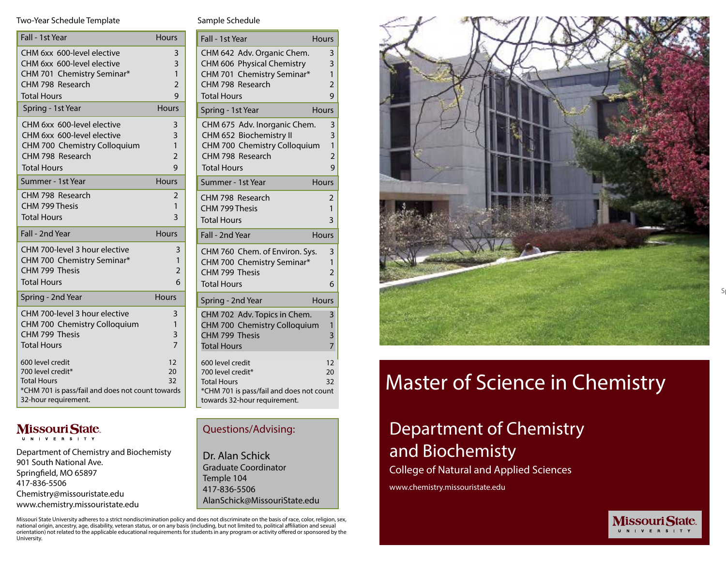#### Two-Year Schedule Template

| Fall - 1st Year                                                                                                                         | <b>Hours</b>                                  |
|-----------------------------------------------------------------------------------------------------------------------------------------|-----------------------------------------------|
| CHM 6xx 600-level elective<br>CHM 6xx 600-level elective<br>CHM 701 Chemistry Seminar*                                                  | 3<br>3<br>$\mathbf{1}$                        |
| CHM 798 Research                                                                                                                        | $\overline{2}$                                |
| <b>Total Hours</b>                                                                                                                      | 9                                             |
| Spring - 1st Year                                                                                                                       | Hours                                         |
| CHM 6xx 600-level elective<br>CHM 6xx 600-level elective<br>CHM 700 Chemistry Colloquium<br>CHM 798 Research<br><b>Total Hours</b>      | 3<br>3<br>$\mathbf{1}$<br>$\overline{2}$<br>9 |
| Summer - 1st Year                                                                                                                       | <b>Hours</b>                                  |
| CHM 798 Research<br>CHM 799 Thesis<br><b>Total Hours</b>                                                                                | 2<br>1<br>ξ                                   |
| Fall - 2nd Year                                                                                                                         | <b>Hours</b>                                  |
| CHM 700-level 3 hour elective<br>CHM 700 Chemistry Seminar*<br>CHM 799 Thesis<br><b>Total Hours</b>                                     | 3<br>1<br>$\overline{2}$<br>6                 |
| Spring - 2nd Year                                                                                                                       | <b>Hours</b>                                  |
| CHM 700-level 3 hour elective<br>CHM 700 Chemistry Colloquium<br>CHM 799 Thesis<br><b>Total Hours</b>                                   | 3<br>$\mathbf{1}$<br>3<br>$\overline{7}$      |
| 600 level credit<br>700 level credit*<br><b>Total Hours</b><br>*CHM 701 is pass/fail and does not count towards<br>32-hour requirement. | 12<br>20<br>32                                |

## Missouri State

Department of Chemistry and Biochemisty 901 South National Ave. Springfield, MO 65897 417-836-5506 Chemistry@missouristate.edu www.chemistry.missouristate.edu

Sample Schedule

| Fall - 1st Year                          | <b>Hours</b>   |
|------------------------------------------|----------------|
| CHM 642 Adv. Organic Chem.               | 3              |
| CHM 606 Physical Chemistry               | 3              |
| CHM 701 Chemistry Seminar*               | $\mathbf{1}$   |
| CHM 798 Research                         | $\overline{2}$ |
| <b>Total Hours</b>                       | 9              |
| Spring - 1st Year                        | <b>Hours</b>   |
| CHM 675 Adv. Inorganic Chem.             | 3              |
| CHM 652 Biochemistry II                  | 3              |
| CHM 700 Chemistry Colloquium             | $\mathbf{1}$   |
| CHM 798 Research                         | $\overline{2}$ |
| <b>Total Hours</b>                       | 9              |
| Summer - 1st Year                        | <b>Hours</b>   |
| CHM 798 Research                         | 2              |
| CHM 799 Thesis                           | $\mathbf{1}$   |
| <b>Total Hours</b>                       | 3              |
| Fall - 2nd Year                          | <b>Hours</b>   |
| CHM 760 Chem. of Environ. Sys.           | 3              |
| CHM 700 Chemistry Seminar*               | $\mathbf{1}$   |
| CHM 799 Thesis                           | $\overline{2}$ |
| <b>Total Hours</b>                       | 6              |
| Spring - 2nd Year                        | Hours          |
| CHM 702 Adv. Topics in Chem.             | 3              |
| CHM 700 Chemistry Colloquium             | 1              |
| CHM 799 Thesis                           | 3              |
| <b>Total Hours</b>                       | $\overline{7}$ |
| 600 level credit                         | 12             |
| 700 level credit*                        | 20             |
| <b>Total Hours</b>                       | 32             |
| *CHM 701 is pass/fail and does not count |                |
| towards 32-hour requirement.             |                |

### Questions/Advising:

Dr. Alan Schick Graduate Coordinator Temple 104 417-836-5506 AlanSchick@MissouriState.edu

Missouri State University adheres to a strict nondiscrimination policy and does not discriminate on the basis of race, color, religion, sex, national origin, ancestry, age, disability, veteran status, or on any basis (including, but not limited to, political affiliation and sexual orientation) not related to the applicable educational requirements for students in any program or activity offered or sponsored by the University.



# Master of Science in Chemistry

**MissouriState.** U N I V E R S I T Y

# Department of Chemistry and Biochemisty

College of Natural and Applied Sciences

www.chemistry.missouristate.edu